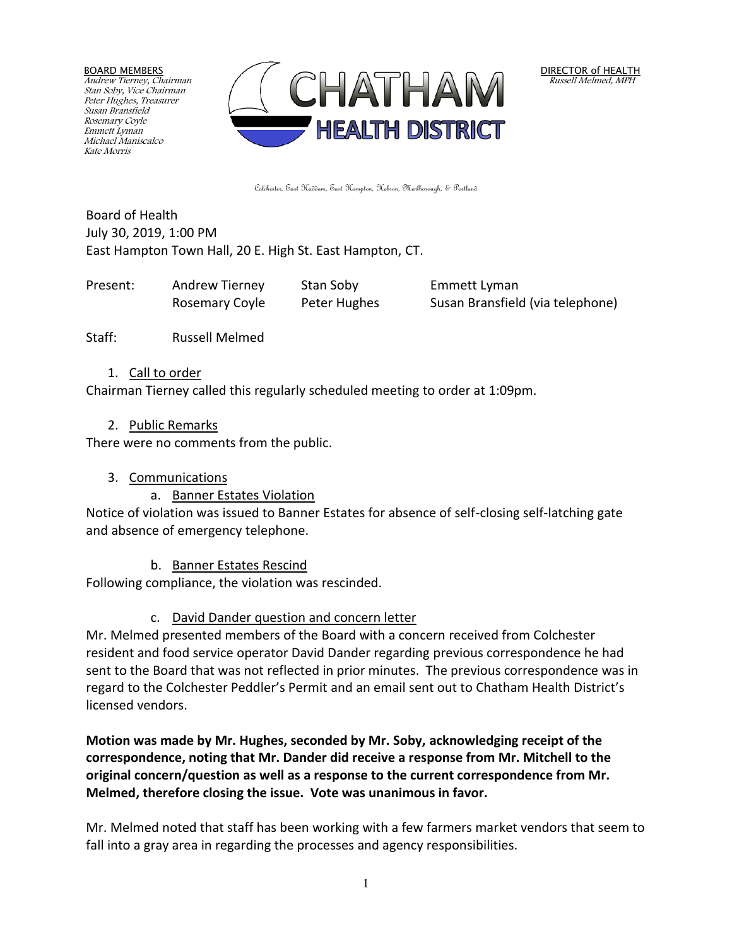BOARD MEMBERS Andrew Tierney, Chairman Stan Soby, Vice Chairman Peter Hughes, Treasurer Susan Bransfield Rosemary Coyle Emmett Lyman Michael Maniscalco Kate Morris



Colchester, East Haddam, East Hampton, Hebron, Marlborough, & Portland

Board of Health July 30, 2019, 1:00 PM East Hampton Town Hall, 20 E. High St. East Hampton, CT.

| Present: | Andrew Tierney | Stan Soby    | Emmett Lyman                     |
|----------|----------------|--------------|----------------------------------|
|          | Rosemary Coyle | Peter Hughes | Susan Bransfield (via telephone) |

Staff: Russell Melmed

1. Call to order

Chairman Tierney called this regularly scheduled meeting to order at 1:09pm.

2. Public Remarks

There were no comments from the public.

3. Communications

# a. Banner Estates Violation

Notice of violation was issued to Banner Estates for absence of self-closing self-latching gate and absence of emergency telephone.

b. Banner Estates Rescind

Following compliance, the violation was rescinded.

# c. David Dander question and concern letter

Mr. Melmed presented members of the Board with a concern received from Colchester resident and food service operator David Dander regarding previous correspondence he had sent to the Board that was not reflected in prior minutes. The previous correspondence was in regard to the Colchester Peddler's Permit and an email sent out to Chatham Health District's licensed vendors.

**Motion was made by Mr. Hughes, seconded by Mr. Soby, acknowledging receipt of the correspondence, noting that Mr. Dander did receive a response from Mr. Mitchell to the original concern/question as well as a response to the current correspondence from Mr. Melmed, therefore closing the issue. Vote was unanimous in favor.**

Mr. Melmed noted that staff has been working with a few farmers market vendors that seem to fall into a gray area in regarding the processes and agency responsibilities.